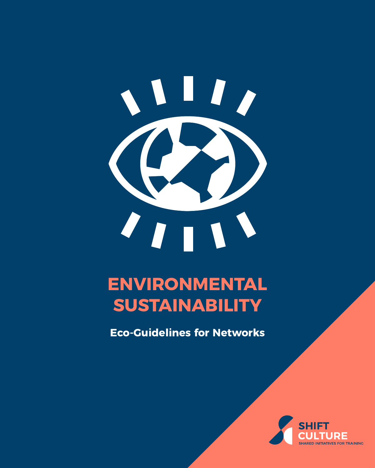# $\mathbf{I}$  $T_{\text{H}}$

## **ENVIRONMENTAL SUSTAINABILITY**

**Eco-Guidelines for Networks**

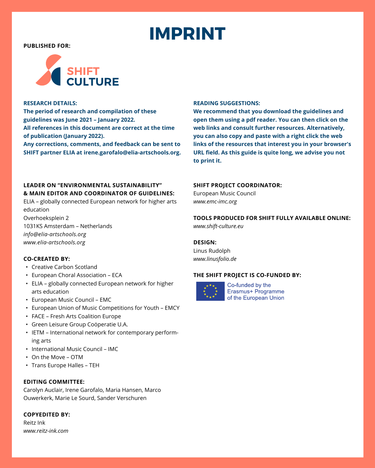## **IMPRINT**

**PUBLISHED FOR:**



#### **RESEARCH DETAILS:**

**The period of research and compilation of these guidelines was June 2021 – January 2022. All references in this document are correct at the time of publication (January 2022).** 

**Any corrections, comments, and feedback can be sent to SHIFT partner ELIA at [irene.garofalo@elia-artschools.org](mailto:irene.garofalo%40elia-artschools.org?subject=SHIFT%20Eco-Guidelines).**

#### **LEADER ON "ENVIRONMENTAL SUSTAINABILITY" & MAIN EDITOR AND COORDINATOR OF GUIDELINES:**

ELIA – globally connected European network for higher arts education Overhoeksplein 2 1031KS Amsterdam – Netherlands

*[info@elia-artschools.org](mailto:info%40elia-artschools.org?subject=SHIFT%20Eco-Guidelines) [www.elia-artschools.org](http://www.elia-artschools.org)*

#### **CO-CREATED BY:**

- Creative Carbon Scotland
- European Choral Association ECA
- ELIA globally connected European network for higher arts education
- European Music Council EMC
- European Union of Music Competitions for Youth EMCY
- FACE Fresh Arts Coalition Europe
- Green Leisure Group Coöperatie U.A.
- IETM International network for contemporary performing arts
- International Music Council IMC
- On the Move OTM
- Trans Europe Halles TEH

#### **EDITING COMMITTEE:**

Carolyn Auclair, Irene Garofalo, Maria Hansen, Marco Ouwerkerk, Marie Le Sourd, Sander Verschuren

**COPYEDITED BY:**

Reitz Ink *[www.reitz-ink.com](http://www.reitz-ink.com)*

#### **READING SUGGESTIONS:**

**We recommend that you download the guidelines and open them using a pdf reader. You can then click on the web links and consult further resources. Alternatively, you can also copy and paste with a right click the web links of the resources that interest you in your browser's URL field. As this guide is quite long, we advise you not to print it.**

#### **SHIFT PROJECT COORDINATOR:**

European Music Council *[www.emc-imc.org](http://www.emc-imc.org)*

## **TOOLS PRODUCED FOR SHIFT FULLY AVAILABLE ONLINE:**

*[www.shift-culture.eu](http://www.shift-culture.eu)*

### **DESIGN:**

Linus Rudolph *[www.linusfolio.de](http://www.linusfolio.de)*

#### **THE SHIFT PROJECT IS CO-FUNDED BY:**



Co-funded by the Erasmus+ Programme of the European Union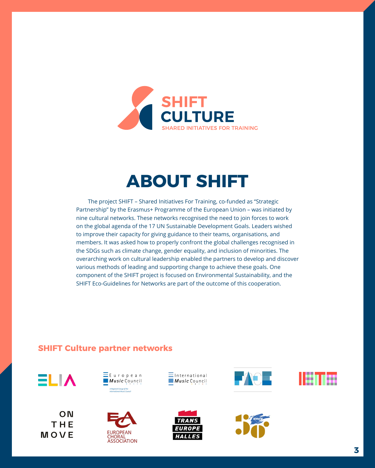

## **ABOUT SHIFT**

The project SHIFT – Shared Initiatives For Training, co-funded as "Strategic Partnership" by the Erasmus+ Programme of the European Union – was initiated by nine cultural networks. These networks recognised the need to join forces to work on the global agenda of the 17 UN Sustainable Development Goals. Leaders wished to improve their capacity for giving guidance to their teams, organisations, and members. It was asked how to properly confront the global challenges recognised in the SDGs such as climate change, gender equality, and inclusion of minorities. The overarching work on cultural leadership enabled the partners to develop and discover various methods of leading and supporting change to achieve these goals. One component of the SHIFT project is focused on Environmental Sustainability, and the SHIFT Eco-Guidelines for Networks are part of the outcome of this cooperation.

## **SHIFT Culture partner networks**



MOVE

ON THE





 $\equiv$ International Music Council









a a s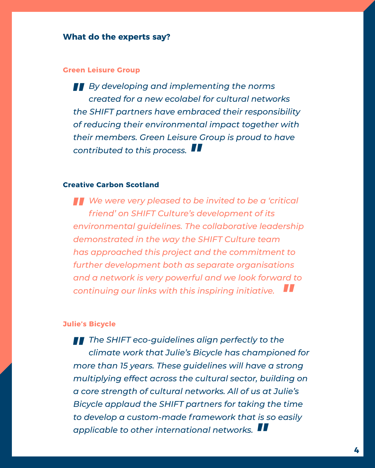## **What do the experts say?**

## **[Green Leisure Group](https://www.greenleisure.nl)**

*" By developing and implementing the norms created for a new ecolabel for cultural networks the SHIFT partners have embraced their responsibility of reducing their environmental impact together with their members. Green Leisure Group is proud to have contributed to this process. "*

## **[Creative Carbon Scotland](https://www.creativecarbonscotland.com/)**

*" We were very pleased to be invited to be a 'critical friend' on SHIFT Culture's development of its environmental guidelines. The collaborative leadership demonstrated in the way the SHIFT Culture team has approached this project and the commitment to further development both as separate organisations and a network is very powerful and we look forward to continuing our links with this inspiring initiative. "*

## **[Julie's Bicycle](https://juliesbicycle.com/)**

*" The SHIFT eco-guidelines align perfectly to the climate work that Julie's Bicycle has championed for more than 15 years. These guidelines will have a strong multiplying effect across the cultural sector, building on a core strength of cultural networks. All of us at Julie's Bicycle applaud the SHIFT partners for taking the time to develop a custom-made framework that is so easily applicable to other international networks. "*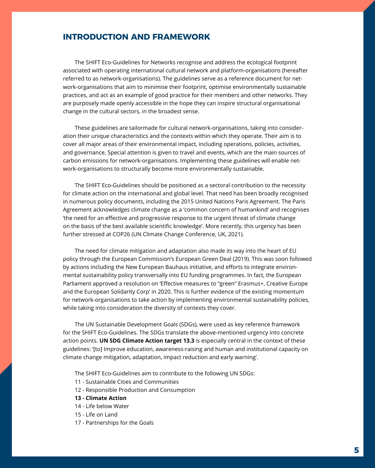## **INTRODUCTION AND FRAMEWORK**

The SHIFT Eco-Guidelines for Networks recognise and address the ecological footprint associated with operating international cultural network and platform-organisations (hereafter referred to as network-organisations). The guidelines serve as a reference document for network-organisations that aim to minimise their footprint, optimise environmentally sustainable practices, and act as an example of good practice for their members and other networks. They are purposely made openly accessible in the hope they can inspire structural organisational change in the cultural sectors, in the broadest sense.

These guidelines are tailormade for cultural network-organisations, taking into consideration their unique characteristics and the contexts within which they operate. Their aim is to cover all major areas of their environmental impact, including operations, policies, activities, and governance. Special attention is given to travel and events, which are the main sources of carbon emissions for network-organisations. Implementing these guidelines will enable network-organisations to structurally become more environmentally sustainable.

The SHIFT Eco-Guidelines should be positioned as a sectoral contribution to the necessity for climate action on the international and global level. That need has been broadly recognised in numerous policy documents, including the 2015 United Nations Paris Agreement. The Paris Agreement acknowledges climate change as a 'common concern of humankind' and recognises 'the need for an effective and progressive response to the urgent threat of climate change on the basis of the best available scientific knowledge'. More recently, this urgency has been further stressed at COP26 (UN Climate Change Conference, UK, 2021).

The need for climate mitigation and adaptation also made its way into the heart of EU policy through the European Commission's European Green Deal (2019). This was soon followed by actions including the New European Bauhaus initiative, and efforts to integrate environmental sustainability policy transversally into EU funding programmes. In fact, the European Parliament approved a resolution on 'Effective measures to "green" Erasmus+, Creative Europe and the European Solidarity Corp' in 2020. This is further evidence of the existing momentum for network-organisations to take action by implementing environmental sustainability policies, while taking into consideration the diversity of contexts they cover.

The UN Sustainable Development Goals (SDGs), were used as key reference framework for the SHIFT Eco-Guidelines. The SDGs translate the above-mentioned urgency into concrete action points. **UN SDG Climate Action target 13.3** is especially central in the context of these guidelines: '[to] Improve education, awareness-raising and human and institutional capacity on climate change mitigation, adaptation, impact reduction and early warning'.

The SHIFT Eco-Guidelines aim to contribute to the following UN SDGs:

- 11 Sustainable Cities and Communities
- 12 Responsible Production and Consumption
- **13 Climate Action**
- 14 Life below Water
- 15 Life on Land
- 17 Partnerships for the Goals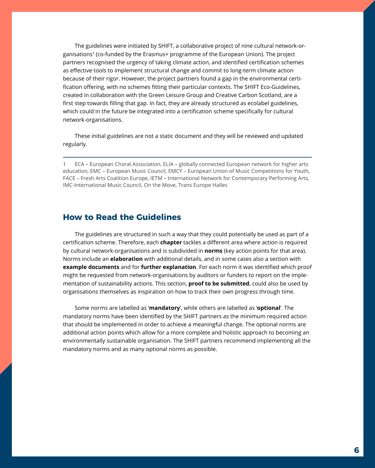The guidelines were initiated by SHIFT, a collaborative project of nine cultural network-organisations**<sup>1</sup>** (co-funded by the Erasmus+ programme of the European Union). The project partners recognised the urgency of taking climate action, and identified certification schemes as effective tools to implement structural change and commit to long-term climate action because of their rigor. However, the project partners found a gap in the environmental certification offering, with no schemes fitting their particular contexts. The SHIFT Eco-Guidelines, created in collaboration with the Green Leisure Group and Creative Carbon Scotland, are a first step towards filling that gap. In fact, they are already structured as ecolabel guidelines, which could in the future be integrated into a certification scheme specifically for cultural network-organisations.

These initial guidelines are not a static document and they will be reviewed and updated regularly.

1 ECA – European Choral Association, ELIA – globally connected European network for higher arts education, EMC – European Music Council, EMCY – European Union of Music Competitions for Youth, FACE – Fresh Arts Coalition Europe, IETM – International Network for Contemporary Performing Arts, IMC-International Music Council, On the Move, Trans Europe Halles

## **How to Read the Guidelines**

The guidelines are structured in such a way that they could potentially be used as part of a certification scheme. Therefore, each **chapter** tackles a different area where action is required by cultural network-organisations and is subdivided in **norms** (key action points for that area). Norms include an **elaboration** with additional details, and in some cases also a section with **example documents** and for **further explanation**. For each norm it was identified which proof might be requested from network-organisations by auditors or funders to report on the implementation of sustainability actions. This section, **proof to be submitted**, could also be used by organisations themselves as inspiration on how to track their own progress through time.

Some norms are labelled as '**mandatory**', while others are labelled as '**optional**'. The mandatory norms have been identified by the SHIFT partners as the minimum required action that should be implemented in order to achieve a meaningful change. The optional norms are additional action points which allow for a more complete and holistic approach to becoming an environmentally sustainable organisation. The SHIFT partners recommend implementing all the mandatory norms and as many optional norms as possible.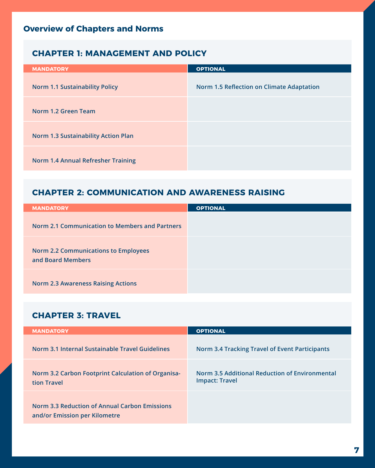## **Overview of Chapters and Norms**

## **[CHAPTER 1: MANAGEMENT AND POLICY](#page-10-0)**

| <b>MANDATORY</b>                           | <b>OPTIONAL</b>                                  |
|--------------------------------------------|--------------------------------------------------|
| <b>Norm 1.1 Sustainability Policy</b>      | <b>Norm 1.5 Reflection on Climate Adaptation</b> |
| Norm 1.2 Green Team                        |                                                  |
| <b>Norm 1.3 Sustainability Action Plan</b> |                                                  |
| Norm 1.4 Annual Refresher Training         |                                                  |

## **[CHAPTER 2: COMMUNICATION AND AWARENESS RAISING](#page-13-0)**

| <b>MANDATORY</b>                                                 | <b>OPTIONAL</b> |
|------------------------------------------------------------------|-----------------|
| Norm 2.1 Communication to Members and Partners                   |                 |
| <b>Norm 2.2 Communications to Employees</b><br>and Board Members |                 |
| <b>Norm 2.3 Awareness Raising Actions</b>                        |                 |

## **[CHAPTER 3: TRAVEL](#page-15-0)**

| <b>MANDATORY</b>                                                                      | <b>OPTIONAL</b>                                                         |
|---------------------------------------------------------------------------------------|-------------------------------------------------------------------------|
| Norm 3.1 Internal Sustainable Travel Guidelines                                       | <b>Norm 3.4 Tracking Travel of Event Participants</b>                   |
| Norm 3.2 Carbon Footprint Calculation of Organisa-<br>tion Travel                     | Norm 3.5 Additional Reduction of Environmental<br><b>Impact: Travel</b> |
| <b>Norm 3.3 Reduction of Annual Carbon Emissions</b><br>and/or Emission per Kilometre |                                                                         |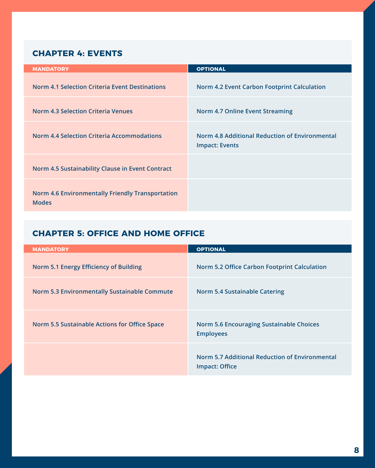## **[CHAPTER 4: EVENTS](#page-19-0)**

| <b>MANDATORY</b>                                                        | <b>OPTIONAL</b>                                                         |
|-------------------------------------------------------------------------|-------------------------------------------------------------------------|
| <b>Norm 4.1 Selection Criteria Event Destinations</b>                   | <b>Norm 4.2 Event Carbon Footprint Calculation</b>                      |
| <b>Norm 4.3 Selection Criteria Venues</b>                               | <b>Norm 4.7 Online Event Streaming</b>                                  |
| <b>Norm 4.4 Selection Criteria Accommodations</b>                       | Norm 4.8 Additional Reduction of Environmental<br><b>Impact: Events</b> |
| Norm 4.5 Sustainability Clause in Event Contract                        |                                                                         |
| <b>Norm 4.6 Environmentally Friendly Transportation</b><br><b>Modes</b> |                                                                         |

## **[CHAPTER 5: OFFICE AND HOME OFFICE](#page-25-0)**

| <b>MANDATORY</b>                                    | <b>OPTIONAL</b>                                                     |
|-----------------------------------------------------|---------------------------------------------------------------------|
| Norm 5.1 Energy Efficiency of Building              | <b>Norm 5.2 Office Carbon Footprint Calculation</b>                 |
| <b>Norm 5.3 Environmentally Sustainable Commute</b> | <b>Norm 5.4 Sustainable Catering</b>                                |
| Norm 5.5 Sustainable Actions for Office Space       | <b>Norm 5.6 Encouraging Sustainable Choices</b><br><b>Employees</b> |
|                                                     | Norm 5.7 Additional Reduction of Environmental<br>Impact: Office    |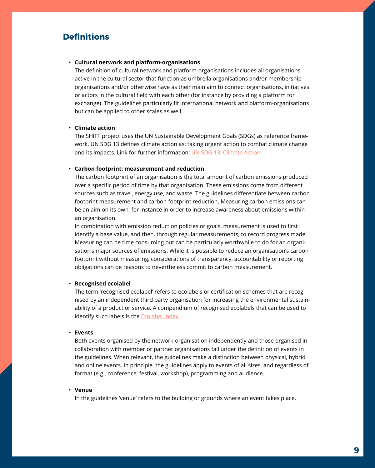## **Definitions**

#### • **Cultural network and platform-organisations**

The definition of cultural network and platform-organisations includes all organisations active in the cultural sector that function as umbrella organisations and/or membership organisations and/or otherwise have as their main aim to connect organisations, initiatives or actors in the cultural field with each other (for instance by providing a platform for exchange). The guidelines particularly fit international network and platform-organisations but can be applied to other scales as well.

#### • **Climate action**

The SHIFT project uses the UN Sustainable Development Goals (SDGs) as reference framework. UN SDG 13 defines climate action as: taking urgent action to combat climate change and its impacts. Link for further information: [UN SDG 13: Climate Action](https://sdgs.un.org/goals/goal13)

#### • **Carbon footprint: measurement and reduction**

The carbon footprint of an organisation is the total amount of carbon emissions produced over a specific period of time by that organisation. These emissions come from different sources such as travel, energy use, and waste. The guidelines differentiate between carbon footprint measurement and carbon footprint reduction. Measuring carbon emissions can be an aim on its own, for instance in order to increase awareness about emissions within an organisation.

In combination with emission reduction policies or goals, measurement is used to first identify a base value, and then, through regular measurements, to record progress made. Measuring can be time consuming but can be particularly worthwhile to do for an organisation's major sources of emissions. While it is possible to reduce an organisation's carbon footprint without measuring, considerations of transparency, accountability or reporting obligations can be reasons to nevertheless commit to carbon measurement.

#### • **Recognised ecolabel**

The term 'recognised ecolabel' refers to ecolabels or certification schemes that are recognised by an independent third party organisation for increasing the environmental sustainability of a product or service. A compendium of recognised ecolabels that can be used to identify such labels is the **Ecolabel Index** .

#### • **Events**

Both events organised by the network-organisation independently and those organised in collaboration with member or partner organisations fall under the definition of events in the guidelines. When relevant, the guidelines make a distinction between physical, hybrid and online events. In principle, the guidelines apply to events of all sizes, and regardless of format (e.g., conference, festival, workshop), programming and audience.

#### • **Venue**

In the guidelines 'venue' refers to the building or grounds where an event takes place.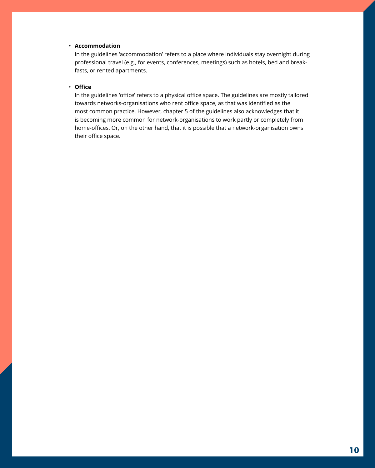### • **Accommodation**

In the guidelines 'accommodation' refers to a place where individuals stay overnight during professional travel (e.g., for events, conferences, meetings) such as hotels, bed and breakfasts, or rented apartments.

#### • **Office**

In the guidelines 'office' refers to a physical office space. The guidelines are mostly tailored towards networks-organisations who rent office space, as that was identified as the most common practice. However, chapter 5 of the guidelines also acknowledges that it is becoming more common for network-organisations to work partly or completely from home-offices. Or, on the other hand, that it is possible that a network-organisation owns their office space.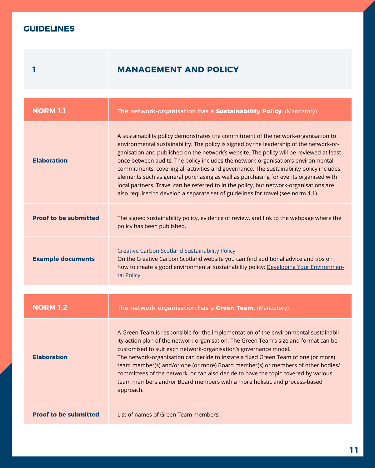## <span id="page-10-0"></span>**GUIDELINES**

## **1 MANAGEMENT AND POLICY**

| <b>NORM 1.1</b>              | The network-organisation has a Sustainability Policy. (Mandatory)                                                                                                                                                                                                                                                                                                                                                                                                                                                                                                                                                                                                                                                             |
|------------------------------|-------------------------------------------------------------------------------------------------------------------------------------------------------------------------------------------------------------------------------------------------------------------------------------------------------------------------------------------------------------------------------------------------------------------------------------------------------------------------------------------------------------------------------------------------------------------------------------------------------------------------------------------------------------------------------------------------------------------------------|
| <b>Elaboration</b>           | A sustainability policy demonstrates the commitment of the network-organisation to<br>environmental sustainability. The policy is signed by the leadership of the network-or-<br>ganisation and published on the network's website. The policy will be reviewed at least<br>once between audits. The policy includes the network-organisation's environmental<br>commitments, covering all activities and governance. The sustainability policy includes<br>elements such as general purchasing as well as purchasing for events organised with<br>local partners. Travel can be referred to in the policy, but network-organisations are<br>also required to develop a separate set of guidelines for travel (see norm 4.1). |
| <b>Proof to be submitted</b> | The signed sustainability policy, evidence of review, and link to the webpage where the<br>policy has been published.                                                                                                                                                                                                                                                                                                                                                                                                                                                                                                                                                                                                         |
| <b>Example documents</b>     | Creative Carbon Scotland Sustainability Policy<br>On the Creative Carbon Scotland website you can find additional advice and tips on<br>how to create a good environmental sustainability policy: Developing Your Environmen-<br>tal Policy                                                                                                                                                                                                                                                                                                                                                                                                                                                                                   |
|                              |                                                                                                                                                                                                                                                                                                                                                                                                                                                                                                                                                                                                                                                                                                                               |
| <b>NORM 1.2</b>              | The network-organisation has a Green Team. (Mandatory)                                                                                                                                                                                                                                                                                                                                                                                                                                                                                                                                                                                                                                                                        |
| <b>Elaboration</b>           | A Green Team is responsible for the implementation of the environmental sustainabil-<br>ity action plan of the network-organisation. The Green Team's size and format can be<br>customised to suit each network-organisation's governance model.<br>The network-organisation can decide to instate a fixed Green Team of one (or more)<br>team member(s) and/or one (or more) Board member(s) or members of other bodies/<br>committees of the network, or can also decide to have the topic covered by various<br>team members and/or Board members with a more holistic and process-based<br>approach.                                                                                                                      |
| <b>Proof to be submitted</b> | List of names of Green Team members.                                                                                                                                                                                                                                                                                                                                                                                                                                                                                                                                                                                                                                                                                          |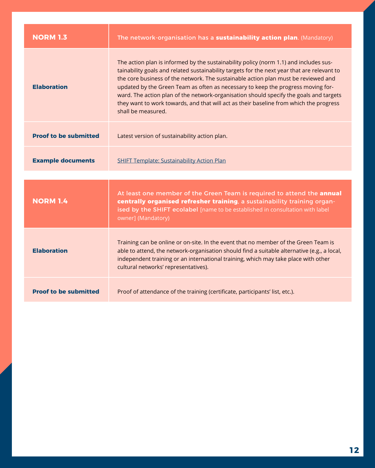| <b>NORM 1.3</b>              | The network-organisation has a sustainability action plan. (Mandatory)                                                                                                                                                                                                                                                                                                                                                                                                                                                                                                   |
|------------------------------|--------------------------------------------------------------------------------------------------------------------------------------------------------------------------------------------------------------------------------------------------------------------------------------------------------------------------------------------------------------------------------------------------------------------------------------------------------------------------------------------------------------------------------------------------------------------------|
| <b>Elaboration</b>           | The action plan is informed by the sustainability policy (norm 1.1) and includes sus-<br>tainability goals and related sustainability targets for the next year that are relevant to<br>the core business of the network. The sustainable action plan must be reviewed and<br>updated by the Green Team as often as necessary to keep the progress moving for-<br>ward. The action plan of the network-organisation should specify the goals and targets<br>they want to work towards, and that will act as their baseline from which the progress<br>shall be measured. |
| <b>Proof to be submitted</b> | Latest version of sustainability action plan.                                                                                                                                                                                                                                                                                                                                                                                                                                                                                                                            |
| <b>Example documents</b>     | <b>SHIFT Template: Sustainability Action Plan</b>                                                                                                                                                                                                                                                                                                                                                                                                                                                                                                                        |
|                              |                                                                                                                                                                                                                                                                                                                                                                                                                                                                                                                                                                          |
| <b>NORM 1.4</b>              | At least one member of the Green Team is required to attend the annual<br>centrally organised refresher training, a sustainability training organ-<br>ised by the SHIFT ecolabel [name to be established in consultation with label<br>owner] (Mandatory)                                                                                                                                                                                                                                                                                                                |
| <b>Elaboration</b>           | Training can be online or on-site. In the event that no member of the Green Team is<br>able to attend, the network-organisation should find a suitable alternative (e.g., a local,<br>independent training or an international training, which may take place with other<br>cultural networks' representatives).                                                                                                                                                                                                                                                         |
| <b>Proof to be submitted</b> | Proof of attendance of the training (certificate, participants' list, etc.).                                                                                                                                                                                                                                                                                                                                                                                                                                                                                             |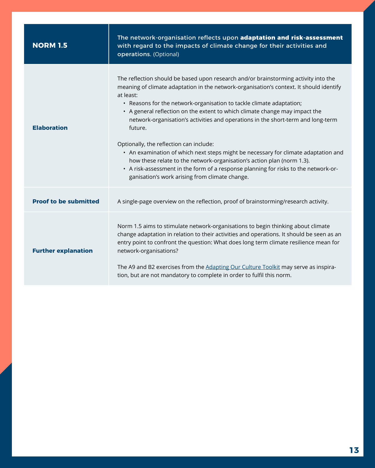| <b>NORM 1.5</b>              | The network-organisation reflects upon adaptation and risk-assessment<br>with regard to the impacts of climate change for their activities and<br>operations. (Optional)                                                                                                                                                                                                                                                                                                                                                                                                                                                                                                                                                                                                                              |
|------------------------------|-------------------------------------------------------------------------------------------------------------------------------------------------------------------------------------------------------------------------------------------------------------------------------------------------------------------------------------------------------------------------------------------------------------------------------------------------------------------------------------------------------------------------------------------------------------------------------------------------------------------------------------------------------------------------------------------------------------------------------------------------------------------------------------------------------|
| <b>Elaboration</b>           | The reflection should be based upon research and/or brainstorming activity into the<br>meaning of climate adaptation in the network-organisation's context. It should identify<br>at least:<br>• Reasons for the network-organisation to tackle climate adaptation;<br>• A general reflection on the extent to which climate change may impact the<br>network-organisation's activities and operations in the short-term and long-term<br>future.<br>Optionally, the reflection can include:<br>• An examination of which next steps might be necessary for climate adaptation and<br>how these relate to the network-organisation's action plan (norm 1.3).<br>• A risk-assessment in the form of a response planning for risks to the network-or-<br>ganisation's work arising from climate change. |
| <b>Proof to be submitted</b> | A single-page overview on the reflection, proof of brainstorming/research activity.                                                                                                                                                                                                                                                                                                                                                                                                                                                                                                                                                                                                                                                                                                                   |
| <b>Further explanation</b>   | Norm 1.5 aims to stimulate network-organisations to begin thinking about climate<br>change adaptation in relation to their activities and operations. It should be seen as an<br>entry point to confront the question: What does long term climate resilience mean for<br>network-organisations?<br>The A9 and B2 exercises from the Adapting Our Culture Toolkit may serve as inspira-<br>tion, but are not mandatory to complete in order to fulfil this norm.                                                                                                                                                                                                                                                                                                                                      |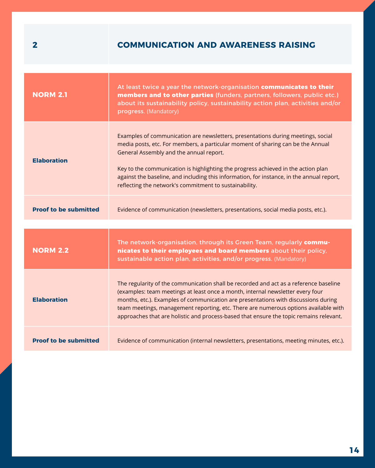## <span id="page-13-0"></span>**2 COMMUNICATION AND AWARENESS RAISING**

| <b>NORM 2.1</b>              | At least twice a year the network-organisation communicates to their<br>members and to other parties (funders, partners, followers, public etc.)<br>about its sustainability policy, sustainability action plan, activities and/or<br>progress. (Mandatory)                                                                                                                                                                                                |
|------------------------------|------------------------------------------------------------------------------------------------------------------------------------------------------------------------------------------------------------------------------------------------------------------------------------------------------------------------------------------------------------------------------------------------------------------------------------------------------------|
| <b>Elaboration</b>           | Examples of communication are newsletters, presentations during meetings, social<br>media posts, etc. For members, a particular moment of sharing can be the Annual<br>General Assembly and the annual report.<br>Key to the communication is highlighting the progress achieved in the action plan<br>against the baseline, and including this information, for instance, in the annual report,<br>reflecting the network's commitment to sustainability. |
| <b>Proof to be submitted</b> | Evidence of communication (newsletters, presentations, social media posts, etc.).                                                                                                                                                                                                                                                                                                                                                                          |
| <b>NORM 2.2</b>              | The network-organisation, through its Green Team, regularly commu-<br>nicates to their employees and board members about their policy,<br>sustainable action plan, activities, and/or progress. (Mandatory)                                                                                                                                                                                                                                                |
| <b>Elaboration</b>           | The regularity of the communication shall be recorded and act as a reference baseline<br>(examples: team meetings at least once a month, internal newsletter every four<br>months, etc.). Examples of communication are presentations with discussions during<br>team meetings, management reporting, etc. There are numerous options available with<br>approaches that are holistic and process-based that ensure the topic remains relevant.             |
| <b>Proof to be submitted</b> | Evidence of communication (internal newsletters, presentations, meeting minutes, etc.).                                                                                                                                                                                                                                                                                                                                                                    |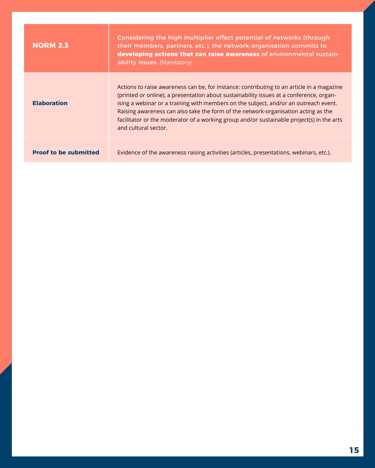| <b>NORM 2.3</b>              | Considering the high multiplier effect potential of networks (through<br>their members, partners, etc.), the network-organisation commits to<br>developing actions that can raise awareness of environmental sustain-<br>ability issues. (Mandatory)                                                                                                                                                                                                                                    |
|------------------------------|-----------------------------------------------------------------------------------------------------------------------------------------------------------------------------------------------------------------------------------------------------------------------------------------------------------------------------------------------------------------------------------------------------------------------------------------------------------------------------------------|
| <b>Elaboration</b>           | Actions to raise awareness can be, for instance: contributing to an article in a magazine<br>(printed or online), a presentation about sustainability issues at a conference, organ-<br>ising a webinar or a training with members on the subject, and/or an outreach event.<br>Raising awareness can also take the form of the network-organisation acting as the<br>facilitator or the moderator of a working group and/or sustainable project(s) in the arts<br>and cultural sector. |
| <b>Proof to be submitted</b> | Evidence of the awareness raising activities (articles, presentations, webinars, etc.).                                                                                                                                                                                                                                                                                                                                                                                                 |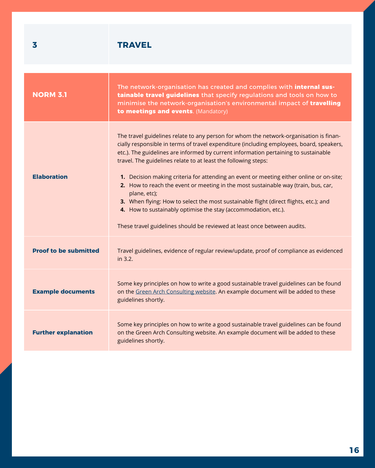<span id="page-15-0"></span>

| 3                            | <b>TRAVEL</b>                                                                                                                                                                                                                                                                                                                                                                                                                                                                                                                                                                                                                                                                                                                                                                       |
|------------------------------|-------------------------------------------------------------------------------------------------------------------------------------------------------------------------------------------------------------------------------------------------------------------------------------------------------------------------------------------------------------------------------------------------------------------------------------------------------------------------------------------------------------------------------------------------------------------------------------------------------------------------------------------------------------------------------------------------------------------------------------------------------------------------------------|
|                              |                                                                                                                                                                                                                                                                                                                                                                                                                                                                                                                                                                                                                                                                                                                                                                                     |
| <b>NORM 3.1</b>              | The network-organisation has created and complies with internal sus-<br>tainable travel guidelines that specify regulations and tools on how to<br>minimise the network-organisation's environmental impact of travelling<br>to meetings and events. (Mandatory)                                                                                                                                                                                                                                                                                                                                                                                                                                                                                                                    |
| <b>Elaboration</b>           | The travel guidelines relate to any person for whom the network-organisation is finan-<br>cially responsible in terms of travel expenditure (including employees, board, speakers,<br>etc.). The guidelines are informed by current information pertaining to sustainable<br>travel. The guidelines relate to at least the following steps:<br>1. Decision making criteria for attending an event or meeting either online or on-site;<br>2. How to reach the event or meeting in the most sustainable way (train, bus, car,<br>plane, etc);<br>3. When flying: How to select the most sustainable flight (direct flights, etc.); and<br>4. How to sustainably optimise the stay (accommodation, etc.).<br>These travel guidelines should be reviewed at least once between audits. |
| <b>Proof to be submitted</b> | Travel guidelines, evidence of regular review/update, proof of compliance as evidenced<br>in 3.2.                                                                                                                                                                                                                                                                                                                                                                                                                                                                                                                                                                                                                                                                                   |
| <b>Example documents</b>     | Some key principles on how to write a good sustainable travel guidelines can be found<br>on the Green Arch Consulting website. An example document will be added to these<br>guidelines shortly.                                                                                                                                                                                                                                                                                                                                                                                                                                                                                                                                                                                    |
| <b>Further explanation</b>   | Some key principles on how to write a good sustainable travel guidelines can be found<br>on the Green Arch Consulting website. An example document will be added to these<br>guidelines shortly.                                                                                                                                                                                                                                                                                                                                                                                                                                                                                                                                                                                    |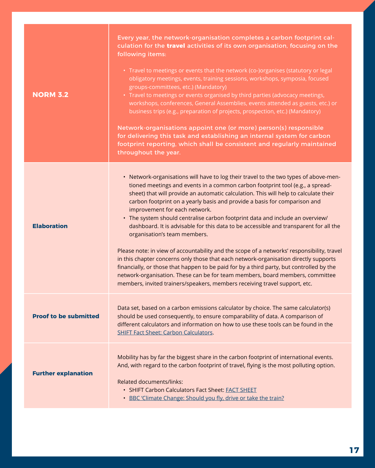| <b>NORM 3.2</b>              | Every year, the network-organisation completes a carbon footprint cal-<br>culation for the travel activities of its own organisation, focusing on the<br>following items:<br>• Travel to meetings or events that the network (co-)organises (statutory or legal<br>obligatory meetings, events, training sessions, workshops, symposia, focused<br>groups-committees, etc.) (Mandatory)<br>• Travel to meetings or events organised by third parties (advocacy meetings,<br>workshops, conferences, General Assemblies, events attended as guests, etc.) or<br>business trips (e.g., preparation of projects, prospection, etc.) (Mandatory)<br>Network-organisations appoint one (or more) person(s) responsible<br>for delivering this task and establishing an internal system for carbon<br>footprint reporting, which shall be consistent and regularly maintained<br>throughout the year.                                                                                                                                        |
|------------------------------|----------------------------------------------------------------------------------------------------------------------------------------------------------------------------------------------------------------------------------------------------------------------------------------------------------------------------------------------------------------------------------------------------------------------------------------------------------------------------------------------------------------------------------------------------------------------------------------------------------------------------------------------------------------------------------------------------------------------------------------------------------------------------------------------------------------------------------------------------------------------------------------------------------------------------------------------------------------------------------------------------------------------------------------|
| <b>Elaboration</b>           | • Network-organisations will have to log their travel to the two types of above-men-<br>tioned meetings and events in a common carbon footprint tool (e.g., a spread-<br>sheet) that will provide an automatic calculation. This will help to calculate their<br>carbon footprint on a yearly basis and provide a basis for comparison and<br>improvement for each network.<br>• The system should centralise carbon footprint data and include an overview/<br>dashboard. It is advisable for this data to be accessible and transparent for all the<br>organisation's team members.<br>Please note: in view of accountability and the scope of a networks' responsibility, travel<br>in this chapter concerns only those that each network-organisation directly supports<br>financially, or those that happen to be paid for by a third party, but controlled by the<br>network-organisation. These can be for team members, board members, committee<br>members, invited trainers/speakers, members receiving travel support, etc. |
| <b>Proof to be submitted</b> | Data set, based on a carbon emissions calculator by choice. The same calculator(s)<br>should be used consequently, to ensure comparability of data. A comparison of<br>different calculators and information on how to use these tools can be found in the<br><b>SHIFT Fact Sheet: Carbon Calculators.</b>                                                                                                                                                                                                                                                                                                                                                                                                                                                                                                                                                                                                                                                                                                                             |
| <b>Further explanation</b>   | Mobility has by far the biggest share in the carbon footprint of international events.<br>And, with regard to the carbon footprint of travel, flying is the most polluting option.<br><b>Related documents/links:</b><br>• SHIFT Carbon Calculators Fact Sheet: FACT SHEET<br>• BBC 'Climate Change: Should you fly, drive or take the train?                                                                                                                                                                                                                                                                                                                                                                                                                                                                                                                                                                                                                                                                                          |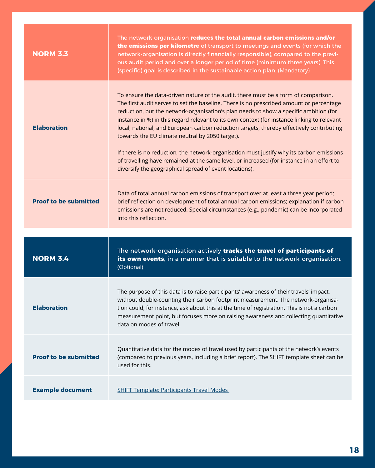| <b>NORM 3.3</b>              | The network-organisation reduces the total annual carbon emissions and/or<br>the emissions per kilometre of transport to meetings and events (for which the<br>network-organisation is directly financially responsible), compared to the previ-<br>ous audit period and over a longer period of time (minimum three years). This<br>(specific) goal is described in the sustainable action plan. (Mandatory)                                                                                                                                                                                                                                                                                                                                                           |
|------------------------------|-------------------------------------------------------------------------------------------------------------------------------------------------------------------------------------------------------------------------------------------------------------------------------------------------------------------------------------------------------------------------------------------------------------------------------------------------------------------------------------------------------------------------------------------------------------------------------------------------------------------------------------------------------------------------------------------------------------------------------------------------------------------------|
| <b>Elaboration</b>           | To ensure the data-driven nature of the audit, there must be a form of comparison.<br>The first audit serves to set the baseline. There is no prescribed amount or percentage<br>reduction, but the network-organisation's plan needs to show a specific ambition (for<br>instance in %) in this regard relevant to its own context (for instance linking to relevant<br>local, national, and European carbon reduction targets, thereby effectively contributing<br>towards the EU climate neutral by 2050 target).<br>If there is no reduction, the network-organisation must justify why its carbon emissions<br>of travelling have remained at the same level, or increased (for instance in an effort to<br>diversify the geographical spread of event locations). |
| <b>Proof to be submitted</b> | Data of total annual carbon emissions of transport over at least a three year period;<br>brief reflection on development of total annual carbon emissions; explanation if carbon<br>emissions are not reduced. Special circumstances (e.g., pandemic) can be incorporated<br>into this reflection.                                                                                                                                                                                                                                                                                                                                                                                                                                                                      |
|                              |                                                                                                                                                                                                                                                                                                                                                                                                                                                                                                                                                                                                                                                                                                                                                                         |
| <b>NORM 3.4</b>              | The network-organisation actively tracks the travel of participants of<br>its own events, in a manner that is suitable to the network-organisation.<br>(Optional)                                                                                                                                                                                                                                                                                                                                                                                                                                                                                                                                                                                                       |
| <b>Elaboration</b>           | The purpose of this data is to raise participants' awareness of their travels' impact,<br>without double-counting their carbon footprint measurement. The network-organisa-<br>tion could, for instance, ask about this at the time of registration. This is not a carbon<br>measurement point, but focuses more on raising awareness and collecting quantitative<br>data on modes of travel.                                                                                                                                                                                                                                                                                                                                                                           |
| <b>Proof to be submitted</b> | Quantitative data for the modes of travel used by participants of the network's events<br>(compared to previous years, including a brief report). The SHIFT template sheet can be<br>used for this.                                                                                                                                                                                                                                                                                                                                                                                                                                                                                                                                                                     |
|                              |                                                                                                                                                                                                                                                                                                                                                                                                                                                                                                                                                                                                                                                                                                                                                                         |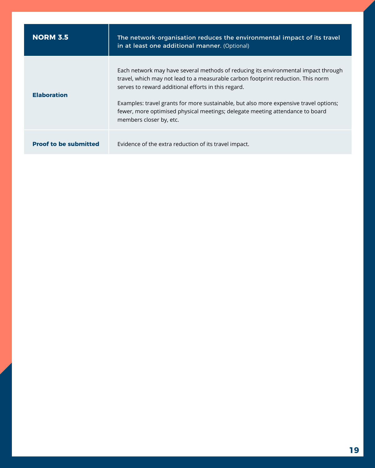| <b>NORM 3.5</b>              | The network-organisation reduces the environmental impact of its travel<br>in at least one additional manner. (Optional)                                                                                                                                                                                                                                                                                                           |
|------------------------------|------------------------------------------------------------------------------------------------------------------------------------------------------------------------------------------------------------------------------------------------------------------------------------------------------------------------------------------------------------------------------------------------------------------------------------|
| <b>Elaboration</b>           | Each network may have several methods of reducing its environmental impact through<br>travel, which may not lead to a measurable carbon footprint reduction. This norm<br>serves to reward additional efforts in this regard.<br>Examples: travel grants for more sustainable, but also more expensive travel options;<br>fewer, more optimised physical meetings; delegate meeting attendance to board<br>members closer by, etc. |
| <b>Proof to be submitted</b> | Evidence of the extra reduction of its travel impact.                                                                                                                                                                                                                                                                                                                                                                              |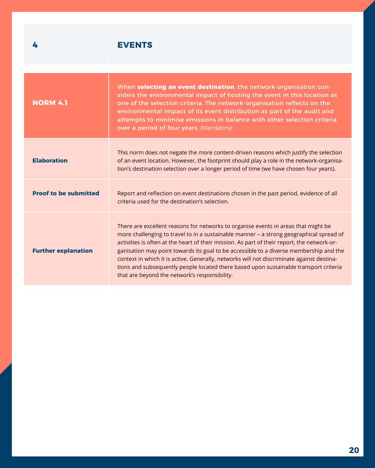## <span id="page-19-0"></span>**4 EVENTS**

| <b>NORM 4.1</b>              | When selecting an event destination, the network-organisation con-<br>siders the environmental impact of hosting the event in this location as<br>one of the selection criteria. The network-organisation reflects on the<br>environmental impact of its event distribution as part of the audit and<br>attempts to minimise emissions in balance with other selection criteria<br>over a period of four years. (Mandatory)                                                                                                                                                                                   |
|------------------------------|---------------------------------------------------------------------------------------------------------------------------------------------------------------------------------------------------------------------------------------------------------------------------------------------------------------------------------------------------------------------------------------------------------------------------------------------------------------------------------------------------------------------------------------------------------------------------------------------------------------|
| <b>Elaboration</b>           | This norm does not negate the more content-driven reasons which justify the selection<br>of an event location. However, the footprint should play a role in the network-organisa-<br>tion's destination selection over a longer period of time (we have chosen four years).                                                                                                                                                                                                                                                                                                                                   |
| <b>Proof to be submitted</b> | Report and reflection on event destinations chosen in the past period, evidence of all<br>criteria used for the destination's selection.                                                                                                                                                                                                                                                                                                                                                                                                                                                                      |
| <b>Further explanation</b>   | There are excellent reasons for networks to organise events in areas that might be<br>more challenging to travel to in a sustainable manner - a strong geographical spread of<br>activities is often at the heart of their mission. As part of their report, the network-or-<br>ganisation may point towards its goal to be accessible to a diverse membership and the<br>context in which it is active. Generally, networks will not discriminate against destina-<br>tions and subsequently people located there based upon sustainable transport criteria<br>that are beyond the network's responsibility. |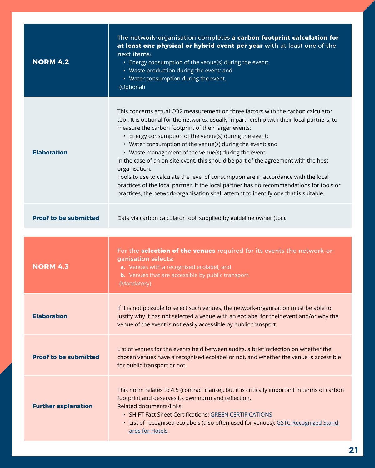| <b>NORM 4.2</b>              | The network-organisation completes a carbon footprint calculation for<br>at least one physical or hybrid event per year with at least one of the<br>next items:<br>• Energy consumption of the venue(s) during the event;<br>• Waste production during the event; and<br>• Water consumption during the event.<br>(Optional)                                                                                                                                                                                                                                                                                                                                                                                                                                                                             |
|------------------------------|----------------------------------------------------------------------------------------------------------------------------------------------------------------------------------------------------------------------------------------------------------------------------------------------------------------------------------------------------------------------------------------------------------------------------------------------------------------------------------------------------------------------------------------------------------------------------------------------------------------------------------------------------------------------------------------------------------------------------------------------------------------------------------------------------------|
| <b>Elaboration</b>           | This concerns actual CO2 measurement on three factors with the carbon calculator<br>tool. It is optional for the networks, usually in partnership with their local partners, to<br>measure the carbon footprint of their larger events:<br>• Energy consumption of the venue(s) during the event;<br>• Water consumption of the venue(s) during the event; and<br>• Waste management of the venue(s) during the event.<br>In the case of an on-site event, this should be part of the agreement with the host<br>organisation.<br>Tools to use to calculate the level of consumption are in accordance with the local<br>practices of the local partner. If the local partner has no recommendations for tools or<br>practices, the network-organisation shall attempt to identify one that is suitable. |
| <b>Proof to be submitted</b> | Data via carbon calculator tool, supplied by guideline owner (tbc).                                                                                                                                                                                                                                                                                                                                                                                                                                                                                                                                                                                                                                                                                                                                      |
|                              |                                                                                                                                                                                                                                                                                                                                                                                                                                                                                                                                                                                                                                                                                                                                                                                                          |
|                              |                                                                                                                                                                                                                                                                                                                                                                                                                                                                                                                                                                                                                                                                                                                                                                                                          |
| <b>NORM 4.3</b>              | For the selection of the venues required for its events the network-or-<br>ganisation selects:<br>a. Venues with a recognised ecolabel; and<br><b>b.</b> Venues that are accessible by public transport.<br>(Mandatory)                                                                                                                                                                                                                                                                                                                                                                                                                                                                                                                                                                                  |
| <b>Elaboration</b>           | If it is not possible to select such venues, the network-organisation must be able to<br>justify why it has not selected a venue with an ecolabel for their event and/or why the<br>venue of the event is not easily accessible by public transport.                                                                                                                                                                                                                                                                                                                                                                                                                                                                                                                                                     |
| <b>Proof to be submitted</b> | List of venues for the events held between audits, a brief reflection on whether the<br>chosen venues have a recognised ecolabel or not, and whether the venue is accessible<br>for public transport or not.                                                                                                                                                                                                                                                                                                                                                                                                                                                                                                                                                                                             |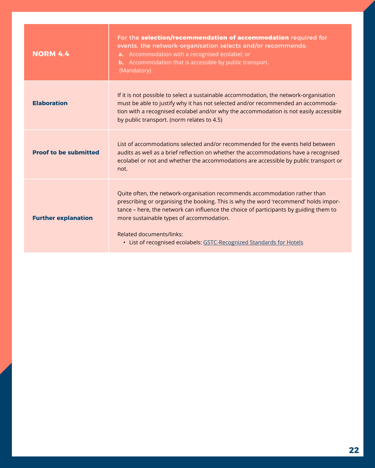| <b>NORM 4.4</b>              | For the selection/recommendation of accommodation required for<br>events, the network-organisation selects and/or recommends:<br><b>a.</b> Accommodation with a recognised ecolabel; or<br><b>b.</b> Accommodation that is accessible by public transport.<br>(Mandatory)                                                                                                                                   |
|------------------------------|-------------------------------------------------------------------------------------------------------------------------------------------------------------------------------------------------------------------------------------------------------------------------------------------------------------------------------------------------------------------------------------------------------------|
| <b>Elaboration</b>           | If it is not possible to select a sustainable accommodation, the network-organisation<br>must be able to justify why it has not selected and/or recommended an accommoda-<br>tion with a recognised ecolabel and/or why the accommodation is not easily accessible<br>by public transport. (norm relates to 4.5)                                                                                            |
| <b>Proof to be submitted</b> | List of accommodations selected and/or recommended for the events held between<br>audits as well as a brief reflection on whether the accommodations have a recognised<br>ecolabel or not and whether the accommodations are accessible by public transport or<br>not.                                                                                                                                      |
| <b>Further explanation</b>   | Quite often, the network-organisation recommends accommodation rather than<br>prescribing or organising the booking. This is why the word 'recommend' holds impor-<br>tance – here, the network can influence the choice of participants by guiding them to<br>more sustainable types of accommodation.<br>Related documents/links:<br>• List of recognised ecolabels: GSTC-Recognized Standards for Hotels |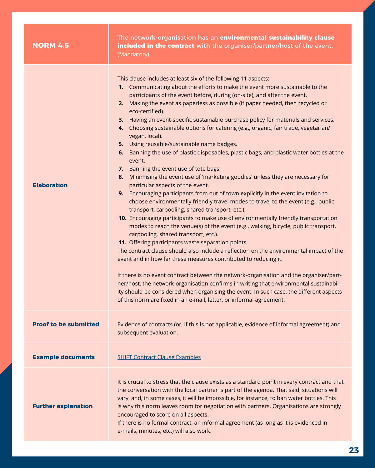| <b>NORM 4.5</b>              | The network-organisation has an environmental sustainability clause<br>included in the contract with the organiser/partner/host of the event.<br>(Mandatory)                                                                                                                                                                                                                                                                                                                                                                                                                                                                                                                                                                                                                                                                                                                                                                                                                                                                                                                                                                                                                                                                                                                                                                                                                                                                                                                                                                                                                                                                                                                                                                                                                                                                                                                                 |
|------------------------------|----------------------------------------------------------------------------------------------------------------------------------------------------------------------------------------------------------------------------------------------------------------------------------------------------------------------------------------------------------------------------------------------------------------------------------------------------------------------------------------------------------------------------------------------------------------------------------------------------------------------------------------------------------------------------------------------------------------------------------------------------------------------------------------------------------------------------------------------------------------------------------------------------------------------------------------------------------------------------------------------------------------------------------------------------------------------------------------------------------------------------------------------------------------------------------------------------------------------------------------------------------------------------------------------------------------------------------------------------------------------------------------------------------------------------------------------------------------------------------------------------------------------------------------------------------------------------------------------------------------------------------------------------------------------------------------------------------------------------------------------------------------------------------------------------------------------------------------------------------------------------------------------|
| <b>Elaboration</b>           | This clause includes at least six of the following 11 aspects:<br>1. Communicating about the efforts to make the event more sustainable to the<br>participants of the event before, during (on-site), and after the event.<br>Making the event as paperless as possible (if paper needed, then recycled or<br>2.<br>eco-certified).<br>3. Having an event-specific sustainable purchase policy for materials and services.<br>4. Choosing sustainable options for catering (e.g., organic, fair trade, vegetarian/<br>vegan, local).<br>5. Using reusable/sustainable name badges.<br>6. Banning the use of plastic disposables, plastic bags, and plastic water bottles at the<br>event.<br>7. Banning the event use of tote bags.<br>Minimising the event use of 'marketing goodies' unless they are necessary for<br>8.<br>particular aspects of the event.<br>9. Encouraging participants from out of town explicitly in the event invitation to<br>choose environmentally friendly travel modes to travel to the event (e.g., public<br>transport, carpooling, shared transport, etc.).<br>10. Encouraging participants to make use of environmentally friendly transportation<br>modes to reach the venue(s) of the event (e.g., walking, bicycle, public transport,<br>carpooling, shared transport, etc.).<br>11. Offering participants waste separation points.<br>The contract clause should also include a reflection on the environmental impact of the<br>event and in how far these measures contributed to reducing it.<br>If there is no event contract between the network-organisation and the organiser/part-<br>ner/host, the network-organisation confirms in writing that environmental sustainabil-<br>ity should be considered when organising the event. In such case, the different aspects<br>of this norm are fixed in an e-mail, letter, or informal agreement. |
| <b>Proof to be submitted</b> | Evidence of contracts (or, if this is not applicable, evidence of informal agreement) and<br>subsequent evaluation.                                                                                                                                                                                                                                                                                                                                                                                                                                                                                                                                                                                                                                                                                                                                                                                                                                                                                                                                                                                                                                                                                                                                                                                                                                                                                                                                                                                                                                                                                                                                                                                                                                                                                                                                                                          |
| <b>Example documents</b>     | <b>SHIFT Contract Clause Examples</b>                                                                                                                                                                                                                                                                                                                                                                                                                                                                                                                                                                                                                                                                                                                                                                                                                                                                                                                                                                                                                                                                                                                                                                                                                                                                                                                                                                                                                                                                                                                                                                                                                                                                                                                                                                                                                                                        |
| <b>Further explanation</b>   | It is crucial to stress that the clause exists as a standard point in every contract and that<br>the conversation with the local partner is part of the agenda. That said, situations will<br>vary, and, in some cases, it will be impossible, for instance, to ban water bottles. This<br>is why this norm leaves room for negotiation with partners. Organisations are strongly<br>encouraged to score on all aspects.<br>If there is no formal contract, an informal agreement (as long as it is evidenced in<br>e-mails, minutes, etc.) will also work.                                                                                                                                                                                                                                                                                                                                                                                                                                                                                                                                                                                                                                                                                                                                                                                                                                                                                                                                                                                                                                                                                                                                                                                                                                                                                                                                  |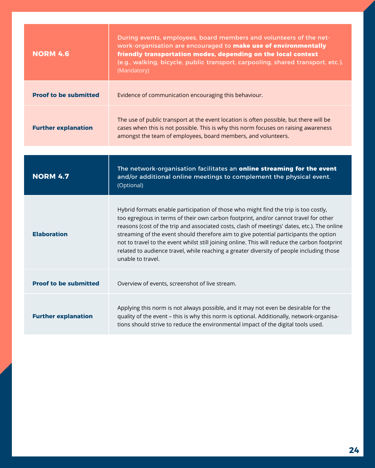| <b>NORM 4.6</b>              | During events, employees, board members and volunteers of the net-<br>work-organisation are encouraged to make use of environmentally<br>friendly transportation modes, depending on the local context<br>(e.g., walking, bicycle, public transport, carpooling, shared transport, etc.).<br>(Mandatory)                                                                                                                                                                                                                                                                              |
|------------------------------|---------------------------------------------------------------------------------------------------------------------------------------------------------------------------------------------------------------------------------------------------------------------------------------------------------------------------------------------------------------------------------------------------------------------------------------------------------------------------------------------------------------------------------------------------------------------------------------|
| <b>Proof to be submitted</b> | Evidence of communication encouraging this behaviour.                                                                                                                                                                                                                                                                                                                                                                                                                                                                                                                                 |
| <b>Further explanation</b>   | The use of public transport at the event location is often possible, but there will be<br>cases when this is not possible. This is why this norm focuses on raising awareness<br>amongst the team of employees, board members, and volunteers.                                                                                                                                                                                                                                                                                                                                        |
|                              |                                                                                                                                                                                                                                                                                                                                                                                                                                                                                                                                                                                       |
| <b>NORM 4.7</b>              | The network-organisation facilitates an online streaming for the event<br>and/or additional online meetings to complement the physical event.<br>(Optional)                                                                                                                                                                                                                                                                                                                                                                                                                           |
| <b>Elaboration</b>           | Hybrid formats enable participation of those who might find the trip is too costly,<br>too egregious in terms of their own carbon footprint, and/or cannot travel for other<br>reasons (cost of the trip and associated costs, clash of meetings' dates, etc.). The online<br>streaming of the event should therefore aim to give potential participants the option<br>not to travel to the event whilst still joining online. This will reduce the carbon footprint<br>related to audience travel, while reaching a greater diversity of people including those<br>unable to travel. |
| <b>Proof to be submitted</b> | Overview of events, screenshot of live stream.                                                                                                                                                                                                                                                                                                                                                                                                                                                                                                                                        |
| <b>Further explanation</b>   | Applying this norm is not always possible, and it may not even be desirable for the<br>quality of the event - this is why this norm is optional. Additionally, network-organisa-<br>tions should strive to reduce the environmental impact of the digital tools used.                                                                                                                                                                                                                                                                                                                 |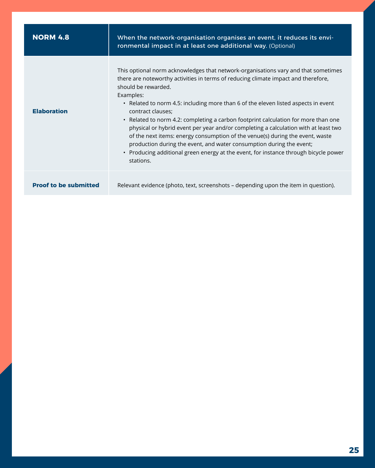| <b>NORM 4.8</b>              | When the network-organisation organises an event, it reduces its envi-<br>ronmental impact in at least one additional way. (Optional)                                                                                                                                                                                                                                                                                                                                                                                                                                                                                                                                                                                                                              |
|------------------------------|--------------------------------------------------------------------------------------------------------------------------------------------------------------------------------------------------------------------------------------------------------------------------------------------------------------------------------------------------------------------------------------------------------------------------------------------------------------------------------------------------------------------------------------------------------------------------------------------------------------------------------------------------------------------------------------------------------------------------------------------------------------------|
| <b>Elaboration</b>           | This optional norm acknowledges that network-organisations vary and that sometimes<br>there are noteworthy activities in terms of reducing climate impact and therefore,<br>should be rewarded.<br>Examples:<br>• Related to norm 4.5: including more than 6 of the eleven listed aspects in event<br>contract clauses;<br>• Related to norm 4.2: completing a carbon footprint calculation for more than one<br>physical or hybrid event per year and/or completing a calculation with at least two<br>of the next items: energy consumption of the venue(s) during the event, waste<br>production during the event, and water consumption during the event;<br>• Producing additional green energy at the event, for instance through bicycle power<br>stations. |
| <b>Proof to be submitted</b> | Relevant evidence (photo, text, screenshots – depending upon the item in question).                                                                                                                                                                                                                                                                                                                                                                                                                                                                                                                                                                                                                                                                                |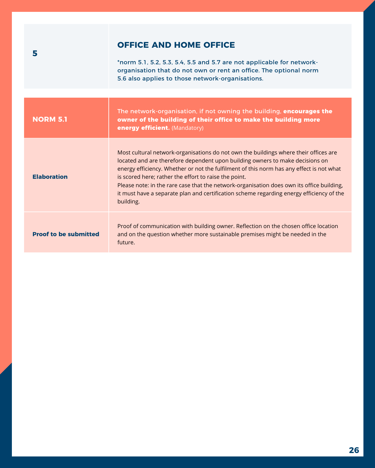## **OFFICE AND HOME OFFICE**

\*norm 5.1, 5.2, 5.3, 5.4, 5.5 and 5.7 are not applicable for networkorganisation that do not own or rent an office. The optional norm 5.6 also applies to those network-organisations.

<span id="page-25-0"></span>

| <b>NORM 5.1</b>              | The network-organisation, if not owning the building, <b>encourages the</b><br>owner of the building of their office to make the building more<br>energy efficient. (Mandatory)                                                                                                                                                                                                                                                                                                                                                  |
|------------------------------|----------------------------------------------------------------------------------------------------------------------------------------------------------------------------------------------------------------------------------------------------------------------------------------------------------------------------------------------------------------------------------------------------------------------------------------------------------------------------------------------------------------------------------|
| <b>Elaboration</b>           | Most cultural network-organisations do not own the buildings where their offices are<br>located and are therefore dependent upon building owners to make decisions on<br>energy efficiency. Whether or not the fulfilment of this norm has any effect is not what<br>is scored here; rather the effort to raise the point.<br>Please note: in the rare case that the network-organisation does own its office building,<br>it must have a separate plan and certification scheme regarding energy efficiency of the<br>building. |
| <b>Proof to be submitted</b> | Proof of communication with building owner. Reflection on the chosen office location<br>and on the question whether more sustainable premises might be needed in the<br>future.                                                                                                                                                                                                                                                                                                                                                  |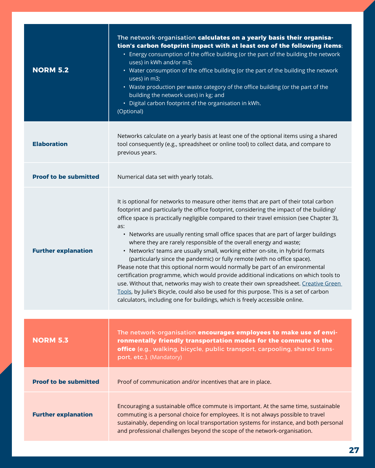| <b>NORM 5.2</b>              | The network-organisation calculates on a yearly basis their organisa-<br>tion's carbon footprint impact with at least one of the following items:<br>• Energy consumption of the office building (or the part of the building the network<br>uses) in kWh and/or m3;<br>• Water consumption of the office building (or the part of the building the network<br>uses) in m3;<br>• Waste production per waste category of the office building (or the part of the<br>building the network uses) in kg; and<br>• Digital carbon footprint of the organisation in kWh.<br>(Optional)                                                                                                                                                                                                                                                                                                                                                                                                                                                                                  |
|------------------------------|-------------------------------------------------------------------------------------------------------------------------------------------------------------------------------------------------------------------------------------------------------------------------------------------------------------------------------------------------------------------------------------------------------------------------------------------------------------------------------------------------------------------------------------------------------------------------------------------------------------------------------------------------------------------------------------------------------------------------------------------------------------------------------------------------------------------------------------------------------------------------------------------------------------------------------------------------------------------------------------------------------------------------------------------------------------------|
| <b>Elaboration</b>           | Networks calculate on a yearly basis at least one of the optional items using a shared<br>tool consequently (e.g., spreadsheet or online tool) to collect data, and compare to<br>previous years.                                                                                                                                                                                                                                                                                                                                                                                                                                                                                                                                                                                                                                                                                                                                                                                                                                                                 |
| <b>Proof to be submitted</b> | Numerical data set with yearly totals.                                                                                                                                                                                                                                                                                                                                                                                                                                                                                                                                                                                                                                                                                                                                                                                                                                                                                                                                                                                                                            |
| <b>Further explanation</b>   | It is optional for networks to measure other items that are part of their total carbon<br>footprint and particularly the office footprint, considering the impact of the building/<br>office space is practically negligible compared to their travel emission (see Chapter 3),<br>as:<br>• Networks are usually renting small office spaces that are part of larger buildings<br>where they are rarely responsible of the overall energy and waste;<br>• Networks' teams are usually small, working either on-site, in hybrid formats<br>(particularly since the pandemic) or fully remote (with no office space).<br>Please note that this optional norm would normally be part of an environmental<br>certification programme, which would provide additional indications on which tools to<br>use. Without that, networks may wish to create their own spreadsheet. Creative Green<br>Tools, by Julie's Bicycle, could also be used for this purpose. This is a set of carbon<br>calculators, including one for buildings, which is freely accessible online. |
| <b>NORM 5.3</b>              | The network-organisation encourages employees to make use of envi-<br>ronmentally friendly transportation modes for the commute to the<br>office (e.g., walking, bicycle, public transport, carpooling, shared trans-<br>port, etc.). (Mandatory)                                                                                                                                                                                                                                                                                                                                                                                                                                                                                                                                                                                                                                                                                                                                                                                                                 |
| <b>Proof to be submitted</b> | Proof of communication and/or incentives that are in place.                                                                                                                                                                                                                                                                                                                                                                                                                                                                                                                                                                                                                                                                                                                                                                                                                                                                                                                                                                                                       |
| <b>Further explanation</b>   | Encouraging a sustainable office commute is important. At the same time, sustainable<br>commuting is a personal choice for employees. It is not always possible to travel<br>sustainably, depending on local transportation systems for instance, and both personal<br>and professional challenges beyond the scope of the network-organisation.                                                                                                                                                                                                                                                                                                                                                                                                                                                                                                                                                                                                                                                                                                                  |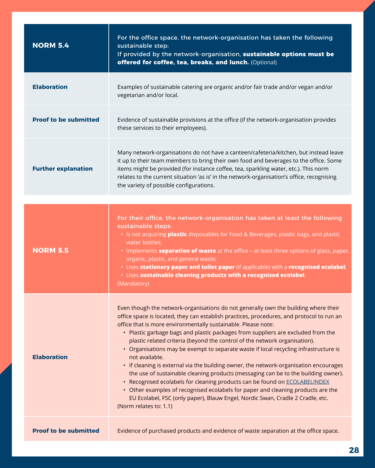| <b>NORM 5.4</b>              | For the office space, the network-organisation has taken the following<br>sustainable step:<br>If provided by the network-organisation, sustainable options must be<br>offered for coffee, tea, breaks, and lunch. (Optional)                                                                                                                                                                                                                                                                                                                                                                                                                                                                                                                                                                                                                                                                                                                                                              |
|------------------------------|--------------------------------------------------------------------------------------------------------------------------------------------------------------------------------------------------------------------------------------------------------------------------------------------------------------------------------------------------------------------------------------------------------------------------------------------------------------------------------------------------------------------------------------------------------------------------------------------------------------------------------------------------------------------------------------------------------------------------------------------------------------------------------------------------------------------------------------------------------------------------------------------------------------------------------------------------------------------------------------------|
| <b>Elaboration</b>           | Examples of sustainable catering are organic and/or fair trade and/or vegan and/or<br>vegetarian and/or local.                                                                                                                                                                                                                                                                                                                                                                                                                                                                                                                                                                                                                                                                                                                                                                                                                                                                             |
| <b>Proof to be submitted</b> | Evidence of sustainable provisions at the office (if the network-organisation provides<br>these services to their employees).                                                                                                                                                                                                                                                                                                                                                                                                                                                                                                                                                                                                                                                                                                                                                                                                                                                              |
| <b>Further explanation</b>   | Many network-organisations do not have a canteen/cafeteria/kitchen, but instead leave<br>it up to their team members to bring their own food and beverages to the office. Some<br>items might be provided (for instance coffee, tea, sparkling water, etc.). This norm<br>relates to the current situation 'as is' in the network-organisation's office, recognising<br>the variety of possible configurations.                                                                                                                                                                                                                                                                                                                                                                                                                                                                                                                                                                            |
|                              |                                                                                                                                                                                                                                                                                                                                                                                                                                                                                                                                                                                                                                                                                                                                                                                                                                                                                                                                                                                            |
| <b>NORM 5.5</b>              | For their office, the network-organisation has taken at least the following<br>sustainable steps:<br>• Is not acquiring <b>plastic</b> disposables for Food & Beverages, plastic bags, and plastic<br>water bottles;<br>• Implements <b>separation of waste</b> at the office - at least three options of glass, paper,<br>organic, plastic, and general waste;<br>· Uses stationery paper and toilet paper (if applicable) with a recognised ecolabel;<br>· Uses sustainable cleaning products with a recognised ecolabel.<br>(Mandatory)                                                                                                                                                                                                                                                                                                                                                                                                                                                 |
| <b>Elaboration</b>           | Even though the network-organisations do not generally own the building where their<br>office space is located, they can establish practices, procedures, and protocol to run an<br>office that is more environmentally sustainable. Please note:<br>• Plastic garbage bags and plastic packages from suppliers are excluded from the<br>plastic related criteria (beyond the control of the network organisation).<br>• Organisations may be exempt to separate waste if local recycling infrastructure is<br>not available.<br>• If cleaning is external via the building owner, the network-organisation encourages<br>the use of sustainable cleaning products (messaging can be to the building owner).<br>• Recognised ecolabels for cleaning products can be found on ECOLABELINDEX<br>• Other examples of recognised ecolabels for paper and cleaning products are the<br>EU Ecolabel, FSC (only paper), Blauw Engel, Nordic Swan, Cradle 2 Cradle, etc.<br>(Norm relates to: 1.1) |
| <b>Proof to be submitted</b> | Evidence of purchased products and evidence of waste separation at the office space.                                                                                                                                                                                                                                                                                                                                                                                                                                                                                                                                                                                                                                                                                                                                                                                                                                                                                                       |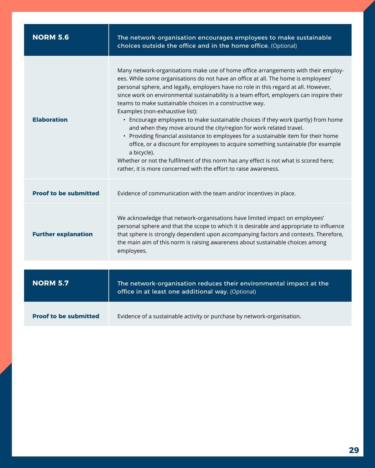| <b>NORM 5.6</b>              | The network-organisation encourages employees to make sustainable<br>choices outside the office and in the home office. (Optional)                                                                                                                                                                                                                                                                                                                                                                                                                                                                                                                                                                                                                                                                                                                                                                                                                                             |
|------------------------------|--------------------------------------------------------------------------------------------------------------------------------------------------------------------------------------------------------------------------------------------------------------------------------------------------------------------------------------------------------------------------------------------------------------------------------------------------------------------------------------------------------------------------------------------------------------------------------------------------------------------------------------------------------------------------------------------------------------------------------------------------------------------------------------------------------------------------------------------------------------------------------------------------------------------------------------------------------------------------------|
| <b>Elaboration</b>           | Many network-organisations make use of home office arrangements with their employ-<br>ees. While some organisations do not have an office at all. The home is employees'<br>personal sphere, and legally, employers have no role in this regard at all. However,<br>since work on environmental sustainability is a team effort, employers can inspire their<br>teams to make sustainable choices in a constructive way.<br>Examples (non-exhaustive list):<br>• Encourage employees to make sustainable choices if they work (partly) from home<br>and when they move around the city/region for work related travel.<br>• Providing financial assistance to employees for a sustainable item for their home<br>office, or a discount for employees to acquire something sustainable (for example<br>a bicycle).<br>Whether or not the fulfilment of this norm has any effect is not what is scored here;<br>rather, it is more concerned with the effort to raise awareness. |
| <b>Proof to be submitted</b> | Evidence of communication with the team and/or incentives in place.                                                                                                                                                                                                                                                                                                                                                                                                                                                                                                                                                                                                                                                                                                                                                                                                                                                                                                            |
| <b>Further explanation</b>   | We acknowledge that network-organisations have limited impact on employees'<br>personal sphere and that the scope to which it is desirable and appropriate to influence<br>that sphere is strongly dependent upon accompanying factors and contexts. Therefore,<br>the main aim of this norm is raising awareness about sustainable choices among<br>employees.                                                                                                                                                                                                                                                                                                                                                                                                                                                                                                                                                                                                                |
|                              |                                                                                                                                                                                                                                                                                                                                                                                                                                                                                                                                                                                                                                                                                                                                                                                                                                                                                                                                                                                |
| <b>NORM 5.7</b>              | The network-organisation reduces their environmental impact at the<br>office in at least one additional way. (Optional)                                                                                                                                                                                                                                                                                                                                                                                                                                                                                                                                                                                                                                                                                                                                                                                                                                                        |
| <b>Proof to be submitted</b> | Evidence of a sustainable activity or purchase by network-organisation.                                                                                                                                                                                                                                                                                                                                                                                                                                                                                                                                                                                                                                                                                                                                                                                                                                                                                                        |